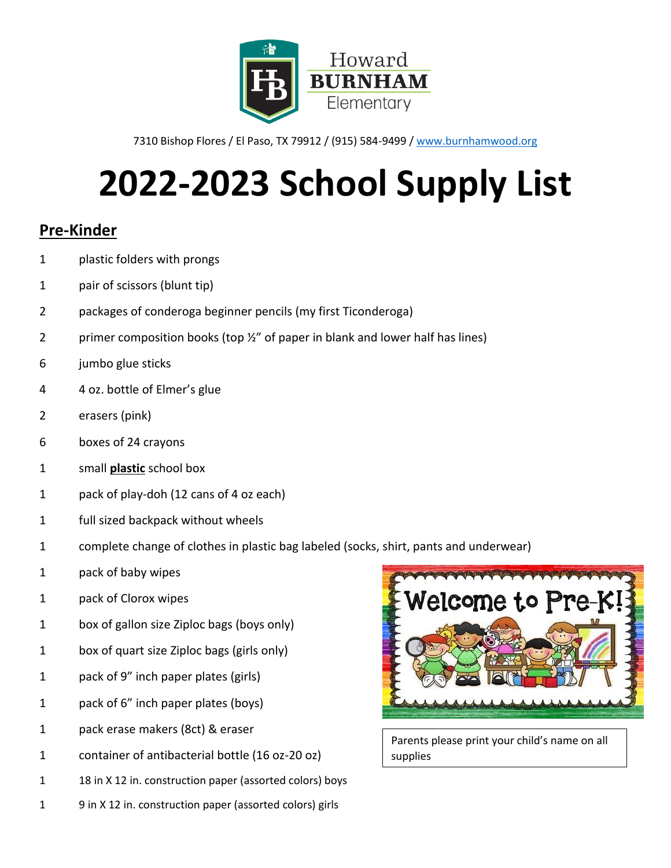

# **2022-2023 School Supply List**

#### **Pre-Kinder**

- plastic folders with prongs
- pair of scissors (blunt tip)
- packages of conderoga beginner pencils (my first Ticonderoga)
- 2 primer composition books (top 1/2" of paper in blank and lower half has lines)
- jumbo glue sticks
- 4 oz. bottle of Elmer's glue
- erasers (pink)
- boxes of 24 crayons
- small **plastic** school box
- pack of play-doh (12 cans of 4 oz each)
- full sized backpack without wheels
- complete change of clothes in plastic bag labeled (socks, shirt, pants and underwear)
- pack of baby wipes
- pack of Clorox wipes
- box of gallon size Ziploc bags (boys only)
- box of quart size Ziploc bags (girls only)
- pack of 9" inch paper plates (girls)
- pack of 6" inch paper plates (boys)
- pack erase makers (8ct) & eraser
- container of antibacterial bottle (16 oz-20 oz)
- 18 in X 12 in. construction paper (assorted colors) boys
- 9 in X 12 in. construction paper (assorted colors) girls

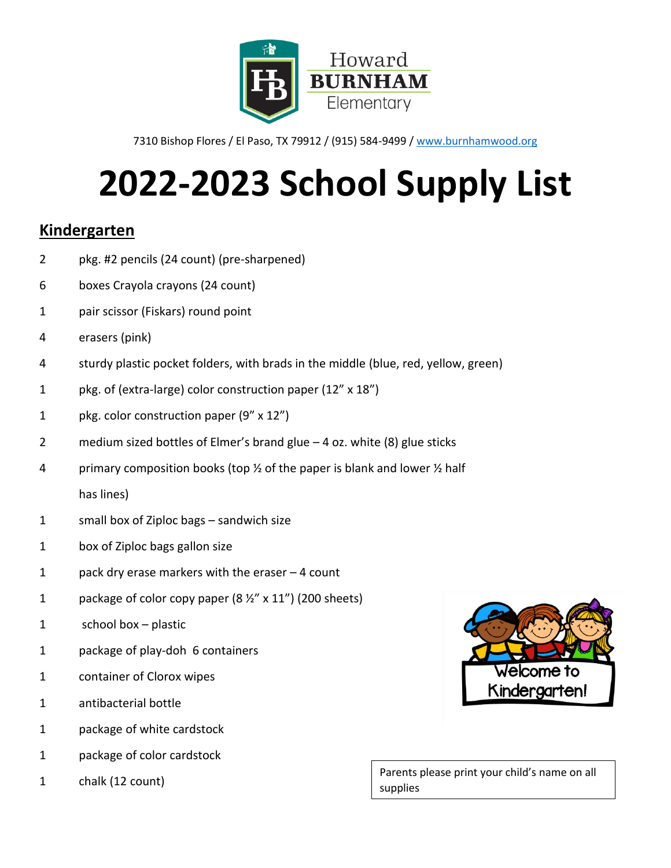

# **2022-2023 School Supply List**

### **Kindergarten**

- pkg. #2 pencils (24 count) (pre-sharpened)
- boxes Crayola crayons (24 count)
- pair scissor (Fiskars) round point
- erasers (pink)
- 4 sturdy plastic pocket folders, with brads in the middle (blue, red, yellow, green)
- pkg. of (extra-large) color construction paper (12" x 18")
- pkg. color construction paper (9" x 12")
- medium sized bottles of Elmer's brand glue 4 oz. white (8) glue sticks
- 4 primary composition books (top  $\frac{1}{2}$  of the paper is blank and lower  $\frac{1}{2}$  half has lines)
- small box of Ziploc bags sandwich size
- box of Ziploc bags gallon size
- pack dry erase markers with the eraser 4 count
- 1 package of color copy paper  $(8 \frac{1}{2}$ " x 11") (200 sheets)
- school box plastic
- package of play-doh 6 containers
- container of Clorox wipes
- antibacterial bottle
- package of white cardstock
- package of color cardstock
- chalk (12 count)

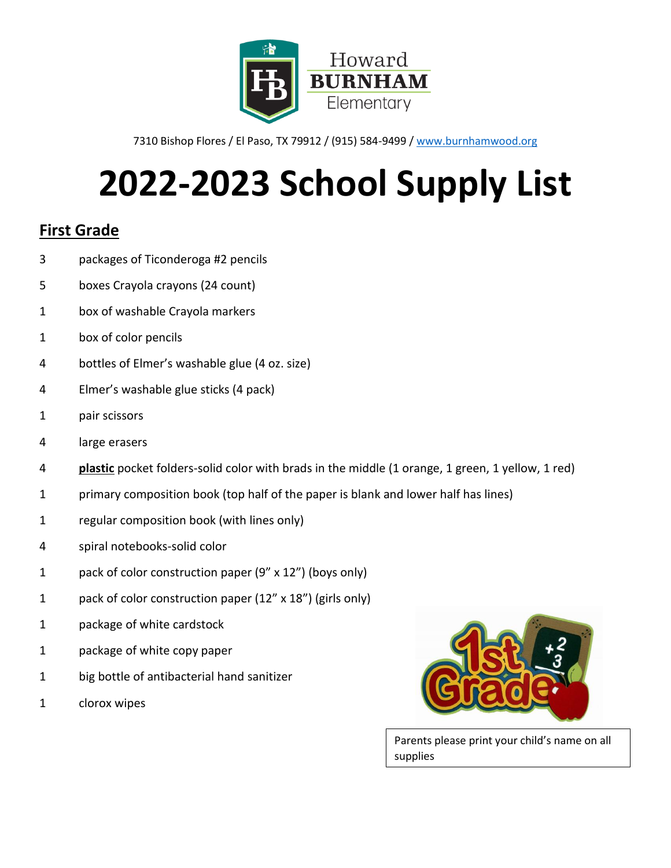

# **2022-2023 School Supply List**

### **First Grade**

- packages of Ticonderoga #2 pencils
- boxes Crayola crayons (24 count)
- box of washable Crayola markers
- box of color pencils
- bottles of Elmer's washable glue (4 oz. size)
- Elmer's washable glue sticks (4 pack)
- pair scissors
- 4 large erasers
- **plastic** pocket folders-solid color with brads in the middle (1 orange, 1 green, 1 yellow, 1 red)
- primary composition book (top half of the paper is blank and lower half has lines)
- regular composition book (with lines only)
- spiral notebooks-solid color
- pack of color construction paper (9" x 12") (boys only)
- pack of color construction paper (12" x 18") (girls only)
- package of white cardstock
- package of white copy paper
- big bottle of antibacterial hand sanitizer
- clorox wipes

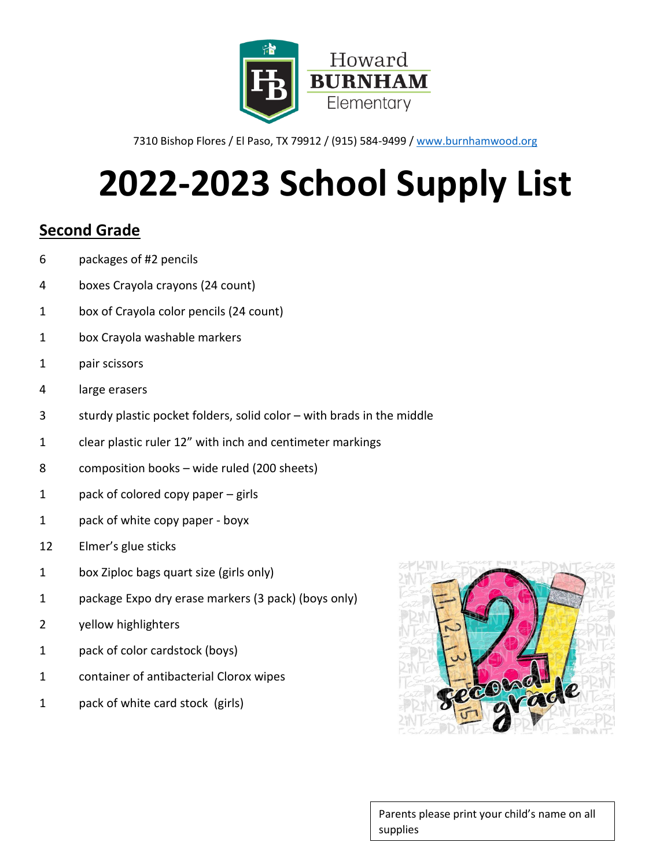

# **2022-2023 School Supply List**

### **Second Grade**

- packages of #2 pencils
- boxes Crayola crayons (24 count)
- box of Crayola color pencils (24 count)
- box Crayola washable markers
- pair scissors
- large erasers
- sturdy plastic pocket folders, solid color with brads in the middle
- clear plastic ruler 12" with inch and centimeter markings
- composition books wide ruled (200 sheets)
- pack of colored copy paper girls
- pack of white copy paper boyx
- Elmer's glue sticks
- box Ziploc bags quart size (girls only)
- package Expo dry erase markers (3 pack) (boys only)
- yellow highlighters
- pack of color cardstock (boys)
- container of antibacterial Clorox wipes
- pack of white card stock (girls)

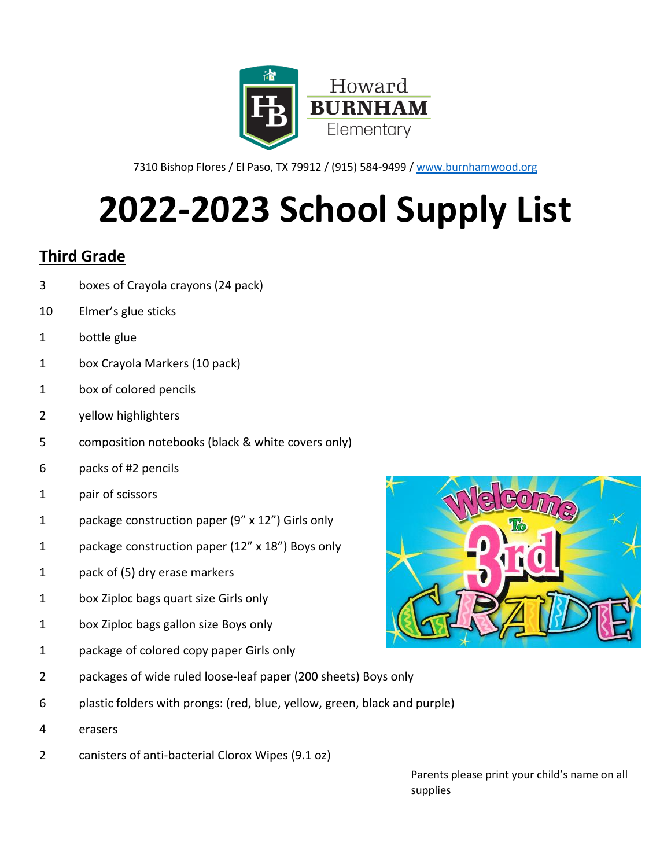

7310 Bishop Flores / El Paso, TX 79912 / (915) 584-9499 / [www.burnhamwood.org](http://www.burnhamwood.org/)

# **2022-2023 School Supply List**

### **Third Grade**

- boxes of Crayola crayons (24 pack)
- Elmer's glue sticks
- bottle glue
- box Crayola Markers (10 pack)
- box of colored pencils
- yellow highlighters
- composition notebooks (black & white covers only)
- packs of #2 pencils
- pair of scissors
- package construction paper (9" x 12") Girls only
- package construction paper (12" x 18") Boys only
- pack of (5) dry erase markers
- box Ziploc bags quart size Girls only
- box Ziploc bags gallon size Boys only
- package of colored copy paper Girls only
- packages of wide ruled loose-leaf paper (200 sheets) Boys only
- plastic folders with prongs: (red, blue, yellow, green, black and purple)
- erasers
- canisters of anti-bacterial Clorox Wipes (9.1 oz)

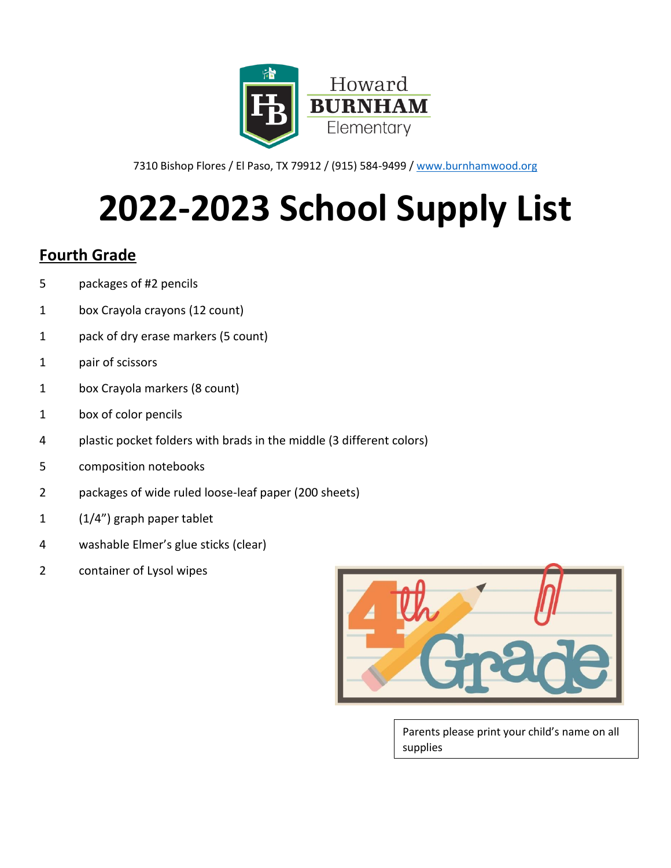

7310 Bishop Flores / El Paso, TX 79912 / (915) 584-9499 / [www.burnhamwood.org](http://www.burnhamwood.org/)

# **2022-2023 School Supply List**

### **Fourth Grade**

- packages of #2 pencils
- box Crayola crayons (12 count)
- pack of dry erase markers (5 count)
- pair of scissors
- box Crayola markers (8 count)
- box of color pencils
- plastic pocket folders with brads in the middle (3 different colors)
- composition notebooks
- packages of wide ruled loose-leaf paper (200 sheets)
- (1/4") graph paper tablet
- washable Elmer's glue sticks (clear)
- container of Lysol wipes